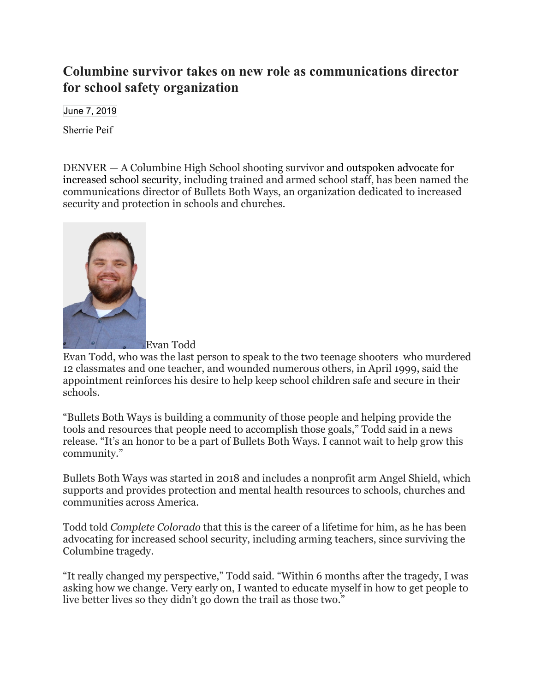## **Columbine survivor takes on new role as communications director for school safety organization**

June 7, 2019

[Sherrie Peif](https://pagetwo.completecolorado.com/author/sherrie/)

DENVER — A Columbine High School shooting survivor and [outspoken advocate for](https://pagetwo.completecolorado.com/2018/08/14/columbine-survivor-takes-active-shooter-training-from-the-best-of-the-best/)  [increased school security,](https://pagetwo.completecolorado.com/2018/08/14/columbine-survivor-takes-active-shooter-training-from-the-best-of-the-best/) including trained and armed school staff, has been named the communications director of Bullets Both Ways, an organization dedicated to increased security and protection in schools and churches.



Evan Todd, who was the last person to speak to the two teenage shooters who murdered 12 classmates and one teacher, and wounded numerous others, in April 1999, said the appointment reinforces his desire to help keep school children safe and secure in their schools.

"Bullets Both Ways is building a community of those people and helping provide the tools and resources that people need to accomplish those goals," Todd said in a news release. "It's an honor to be a part of Bullets Both Ways. I cannot wait to help grow this community."

Bullets Both Ways was started in 2018 and includes a nonprofit arm Angel Shield, which supports and provides protection and mental health resources to schools, churches and communities across America.

Todd told *Complete Colorado* that this is the career of a lifetime for him, as he has been advocating for increased school security, including arming teachers, since surviving the Columbine tragedy.

"It really changed my perspective," Todd said. "Within 6 months after the tragedy, I was asking how we change. Very early on, I wanted to educate myself in how to get people to live better lives so they didn't go down the trail as those two."